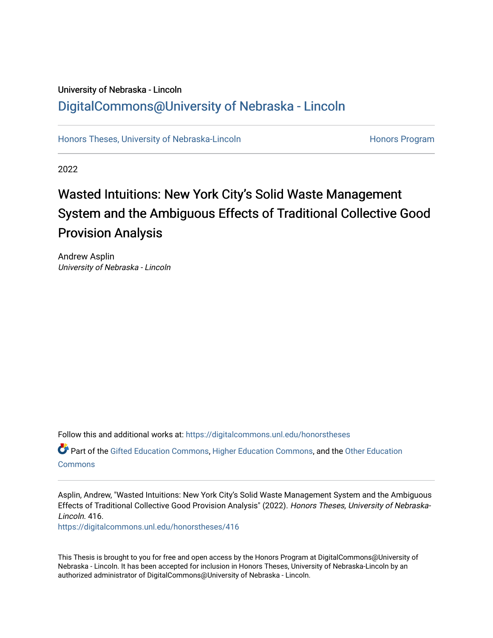## University of Nebraska - Lincoln [DigitalCommons@University of Nebraska - Lincoln](https://digitalcommons.unl.edu/)

[Honors Theses, University of Nebraska-Lincoln](https://digitalcommons.unl.edu/honorstheses) **Honors Program** Honors Program

2022

## Wasted Intuitions: New York City's Solid Waste Management System and the Ambiguous Effects of Traditional Collective Good Provision Analysis

Andrew Asplin University of Nebraska - Lincoln

Follow this and additional works at: [https://digitalcommons.unl.edu/honorstheses](https://digitalcommons.unl.edu/honorstheses?utm_source=digitalcommons.unl.edu%2Fhonorstheses%2F416&utm_medium=PDF&utm_campaign=PDFCoverPages)

Part of the [Gifted Education Commons,](http://network.bepress.com/hgg/discipline/1048?utm_source=digitalcommons.unl.edu%2Fhonorstheses%2F416&utm_medium=PDF&utm_campaign=PDFCoverPages) [Higher Education Commons,](http://network.bepress.com/hgg/discipline/1245?utm_source=digitalcommons.unl.edu%2Fhonorstheses%2F416&utm_medium=PDF&utm_campaign=PDFCoverPages) and the Other Education **[Commons](http://network.bepress.com/hgg/discipline/811?utm_source=digitalcommons.unl.edu%2Fhonorstheses%2F416&utm_medium=PDF&utm_campaign=PDFCoverPages)** 

Asplin, Andrew, "Wasted Intuitions: New York City's Solid Waste Management System and the Ambiguous Effects of Traditional Collective Good Provision Analysis" (2022). Honors Theses, University of Nebraska-Lincoln. 416.

[https://digitalcommons.unl.edu/honorstheses/416](https://digitalcommons.unl.edu/honorstheses/416?utm_source=digitalcommons.unl.edu%2Fhonorstheses%2F416&utm_medium=PDF&utm_campaign=PDFCoverPages)

This Thesis is brought to you for free and open access by the Honors Program at DigitalCommons@University of Nebraska - Lincoln. It has been accepted for inclusion in Honors Theses, University of Nebraska-Lincoln by an authorized administrator of DigitalCommons@University of Nebraska - Lincoln.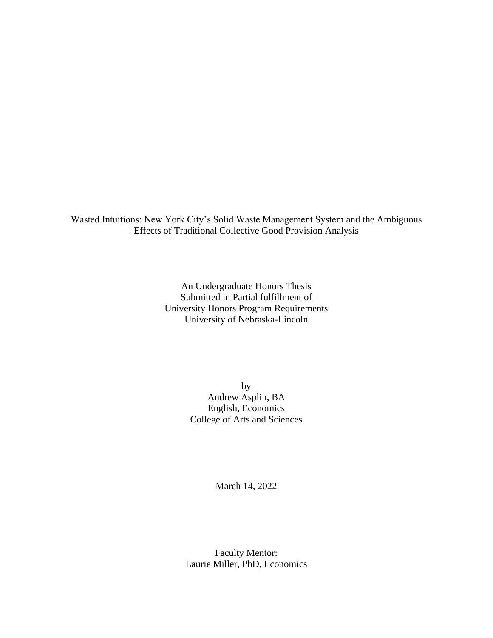Wasted Intuitions: New York City's Solid Waste Management System and the Ambiguous Effects of Traditional Collective Good Provision Analysis

> An Undergraduate Honors Thesis Submitted in Partial fulfillment of University Honors Program Requirements University of Nebraska-Lincoln

> > by Andrew Asplin, BA English, Economics College of Arts and Sciences

> > > March 14, 2022

Faculty Mentor: Laurie Miller, PhD, Economics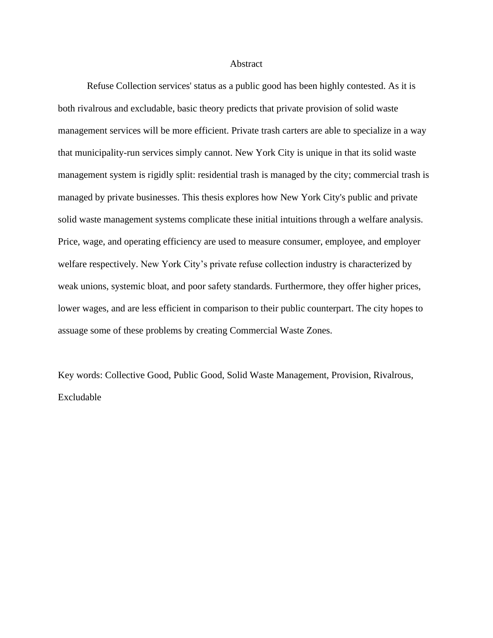## **Abstract**

Refuse Collection services' status as a public good has been highly contested. As it is both rivalrous and excludable, basic theory predicts that private provision of solid waste management services will be more efficient. Private trash carters are able to specialize in a way that municipality-run services simply cannot. New York City is unique in that its solid waste management system is rigidly split: residential trash is managed by the city; commercial trash is managed by private businesses. This thesis explores how New York City's public and private solid waste management systems complicate these initial intuitions through a welfare analysis. Price, wage, and operating efficiency are used to measure consumer, employee, and employer welfare respectively. New York City's private refuse collection industry is characterized by weak unions, systemic bloat, and poor safety standards. Furthermore, they offer higher prices, lower wages, and are less efficient in comparison to their public counterpart. The city hopes to assuage some of these problems by creating Commercial Waste Zones.

Key words: Collective Good, Public Good, Solid Waste Management, Provision, Rivalrous, Excludable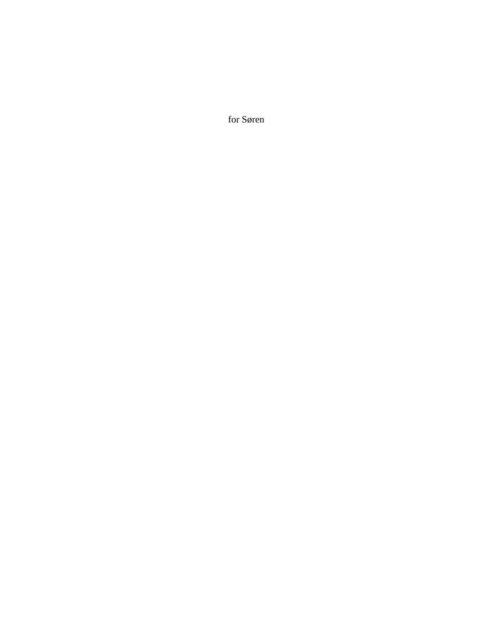for Søren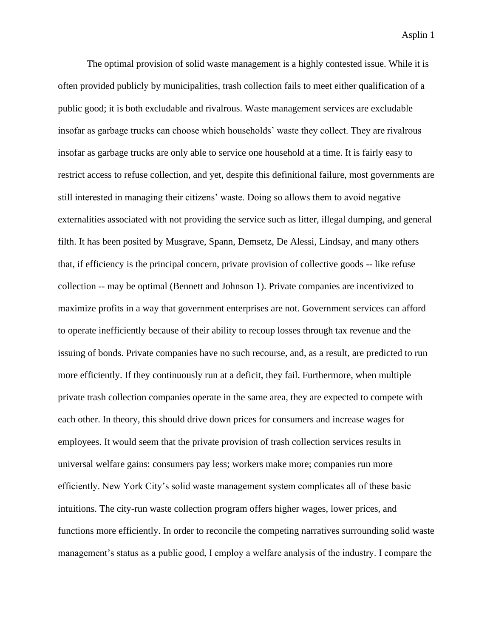The optimal provision of solid waste management is a highly contested issue. While it is often provided publicly by municipalities, trash collection fails to meet either qualification of a public good; it is both excludable and rivalrous. Waste management services are excludable insofar as garbage trucks can choose which households' waste they collect. They are rivalrous insofar as garbage trucks are only able to service one household at a time. It is fairly easy to restrict access to refuse collection, and yet, despite this definitional failure, most governments are still interested in managing their citizens' waste. Doing so allows them to avoid negative externalities associated with not providing the service such as litter, illegal dumping, and general filth. It has been posited by Musgrave, Spann, Demsetz, De Alessi, Lindsay, and many others that, if efficiency is the principal concern, private provision of collective goods -- like refuse collection -- may be optimal (Bennett and Johnson 1). Private companies are incentivized to maximize profits in a way that government enterprises are not. Government services can afford to operate inefficiently because of their ability to recoup losses through tax revenue and the issuing of bonds. Private companies have no such recourse, and, as a result, are predicted to run more efficiently. If they continuously run at a deficit, they fail. Furthermore, when multiple private trash collection companies operate in the same area, they are expected to compete with each other. In theory, this should drive down prices for consumers and increase wages for employees. It would seem that the private provision of trash collection services results in universal welfare gains: consumers pay less; workers make more; companies run more efficiently. New York City's solid waste management system complicates all of these basic intuitions. The city-run waste collection program offers higher wages, lower prices, and functions more efficiently. In order to reconcile the competing narratives surrounding solid waste management's status as a public good, I employ a welfare analysis of the industry. I compare the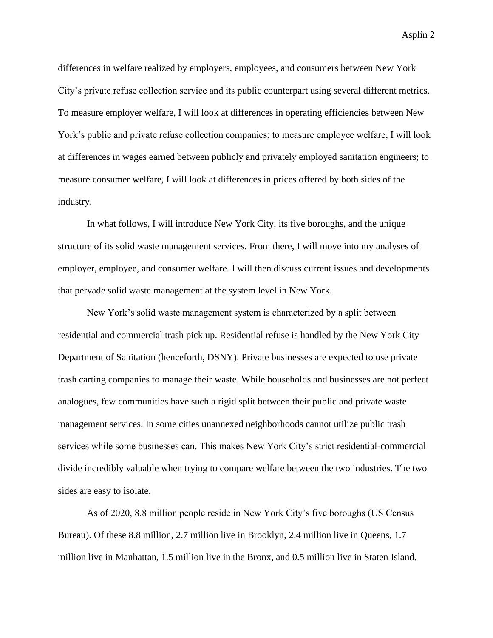differences in welfare realized by employers, employees, and consumers between New York City's private refuse collection service and its public counterpart using several different metrics. To measure employer welfare, I will look at differences in operating efficiencies between New York's public and private refuse collection companies; to measure employee welfare, I will look at differences in wages earned between publicly and privately employed sanitation engineers; to measure consumer welfare, I will look at differences in prices offered by both sides of the industry.

In what follows, I will introduce New York City, its five boroughs, and the unique structure of its solid waste management services. From there, I will move into my analyses of employer, employee, and consumer welfare. I will then discuss current issues and developments that pervade solid waste management at the system level in New York.

New York's solid waste management system is characterized by a split between residential and commercial trash pick up. Residential refuse is handled by the New York City Department of Sanitation (henceforth, DSNY). Private businesses are expected to use private trash carting companies to manage their waste. While households and businesses are not perfect analogues, few communities have such a rigid split between their public and private waste management services. In some cities unannexed neighborhoods cannot utilize public trash services while some businesses can. This makes New York City's strict residential-commercial divide incredibly valuable when trying to compare welfare between the two industries. The two sides are easy to isolate.

As of 2020, 8.8 million people reside in New York City's five boroughs (US Census Bureau). Of these 8.8 million, 2.7 million live in Brooklyn, 2.4 million live in Queens, 1.7 million live in Manhattan, 1.5 million live in the Bronx, and 0.5 million live in Staten Island.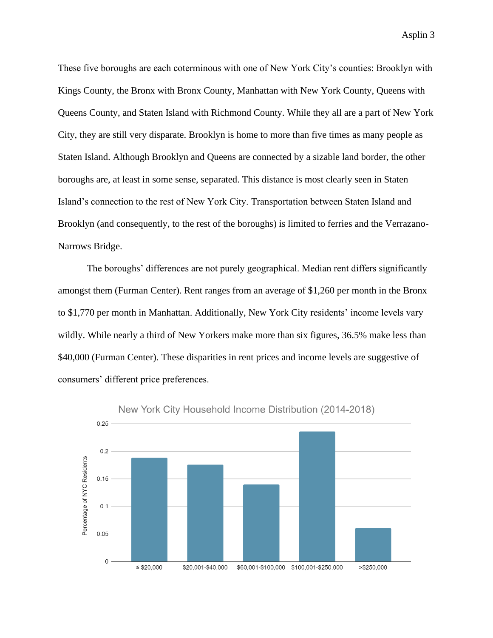These five boroughs are each coterminous with one of New York City's counties: Brooklyn with Kings County, the Bronx with Bronx County, Manhattan with New York County, Queens with Queens County, and Staten Island with Richmond County. While they all are a part of New York City, they are still very disparate. Brooklyn is home to more than five times as many people as Staten Island. Although Brooklyn and Queens are connected by a sizable land border, the other boroughs are, at least in some sense, separated. This distance is most clearly seen in Staten Island's connection to the rest of New York City. Transportation between Staten Island and Brooklyn (and consequently, to the rest of the boroughs) is limited to ferries and the Verrazano-Narrows Bridge.

The boroughs' differences are not purely geographical. Median rent differs significantly amongst them (Furman Center). Rent ranges from an average of \$1,260 per month in the Bronx to \$1,770 per month in Manhattan. Additionally, New York City residents' income levels vary wildly. While nearly a third of New Yorkers make more than six figures, 36.5% make less than \$40,000 (Furman Center). These disparities in rent prices and income levels are suggestive of consumers' different price preferences.



New York City Household Income Distribution (2014-2018)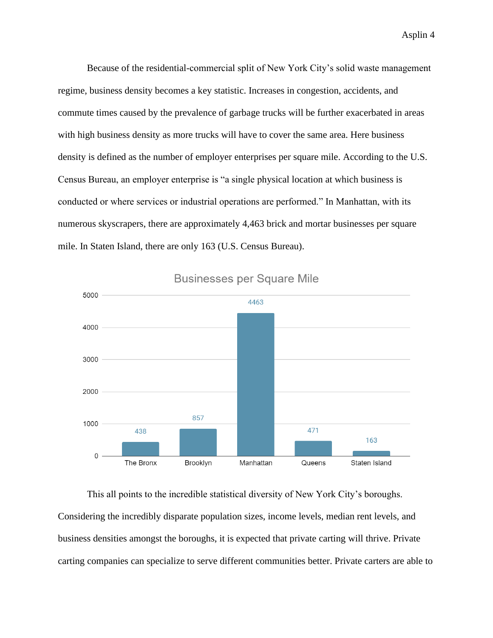Because of the residential-commercial split of New York City's solid waste management regime, business density becomes a key statistic. Increases in congestion, accidents, and commute times caused by the prevalence of garbage trucks will be further exacerbated in areas with high business density as more trucks will have to cover the same area. Here business density is defined as the number of employer enterprises per square mile. According to the U.S. Census Bureau, an employer enterprise is "a single physical location at which business is conducted or where services or industrial operations are performed." In Manhattan, with its numerous skyscrapers, there are approximately 4,463 brick and mortar businesses per square mile. In Staten Island, there are only 163 (U.S. Census Bureau).



**Businesses per Square Mile** 

This all points to the incredible statistical diversity of New York City's boroughs. Considering the incredibly disparate population sizes, income levels, median rent levels, and business densities amongst the boroughs, it is expected that private carting will thrive. Private carting companies can specialize to serve different communities better. Private carters are able to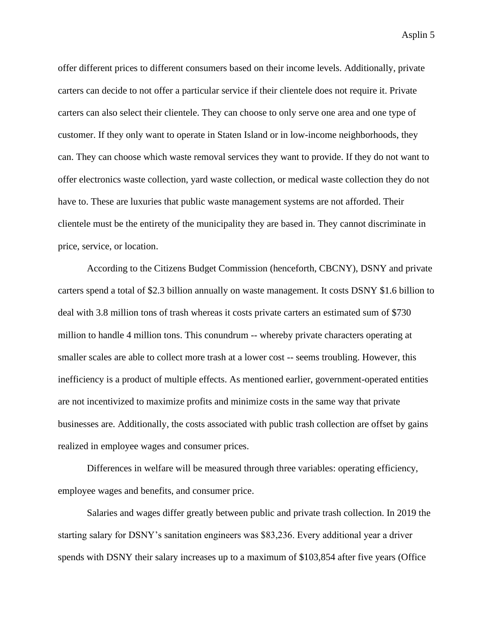offer different prices to different consumers based on their income levels. Additionally, private carters can decide to not offer a particular service if their clientele does not require it. Private carters can also select their clientele. They can choose to only serve one area and one type of customer. If they only want to operate in Staten Island or in low-income neighborhoods, they can. They can choose which waste removal services they want to provide. If they do not want to offer electronics waste collection, yard waste collection, or medical waste collection they do not have to. These are luxuries that public waste management systems are not afforded. Their clientele must be the entirety of the municipality they are based in. They cannot discriminate in price, service, or location.

According to the Citizens Budget Commission (henceforth, CBCNY), DSNY and private carters spend a total of \$2.3 billion annually on waste management. It costs DSNY \$1.6 billion to deal with 3.8 million tons of trash whereas it costs private carters an estimated sum of \$730 million to handle 4 million tons. This conundrum -- whereby private characters operating at smaller scales are able to collect more trash at a lower cost -- seems troubling. However, this inefficiency is a product of multiple effects. As mentioned earlier, government-operated entities are not incentivized to maximize profits and minimize costs in the same way that private businesses are. Additionally, the costs associated with public trash collection are offset by gains realized in employee wages and consumer prices.

Differences in welfare will be measured through three variables: operating efficiency, employee wages and benefits, and consumer price.

Salaries and wages differ greatly between public and private trash collection. In 2019 the starting salary for DSNY's sanitation engineers was \$83,236. Every additional year a driver spends with DSNY their salary increases up to a maximum of \$103,854 after five years (Office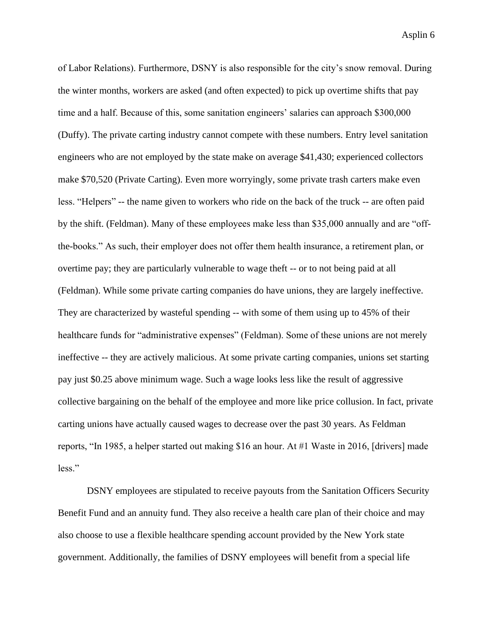of Labor Relations). Furthermore, DSNY is also responsible for the city's snow removal. During the winter months, workers are asked (and often expected) to pick up overtime shifts that pay time and a half. Because of this, some sanitation engineers' salaries can approach \$300,000 (Duffy). The private carting industry cannot compete with these numbers. Entry level sanitation engineers who are not employed by the state make on average \$41,430; experienced collectors make \$70,520 (Private Carting). Even more worryingly, some private trash carters make even less. "Helpers" -- the name given to workers who ride on the back of the truck -- are often paid by the shift. (Feldman). Many of these employees make less than \$35,000 annually and are "offthe-books." As such, their employer does not offer them health insurance, a retirement plan, or overtime pay; they are particularly vulnerable to wage theft -- or to not being paid at all (Feldman). While some private carting companies do have unions, they are largely ineffective. They are characterized by wasteful spending -- with some of them using up to 45% of their healthcare funds for "administrative expenses" (Feldman). Some of these unions are not merely ineffective -- they are actively malicious. At some private carting companies, unions set starting pay just \$0.25 above minimum wage. Such a wage looks less like the result of aggressive collective bargaining on the behalf of the employee and more like price collusion. In fact, private carting unions have actually caused wages to decrease over the past 30 years. As Feldman reports, "In 1985, a helper started out making \$16 an hour. At #1 Waste in 2016, [drivers] made less."

DSNY employees are stipulated to receive payouts from the Sanitation Officers Security Benefit Fund and an annuity fund. They also receive a health care plan of their choice and may also choose to use a flexible healthcare spending account provided by the New York state government. Additionally, the families of DSNY employees will benefit from a special life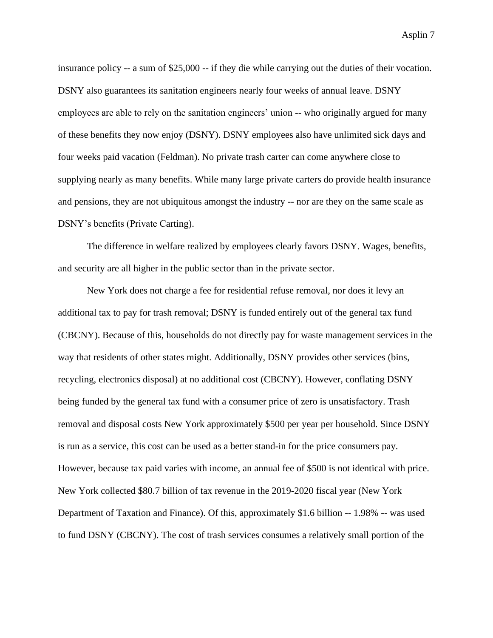insurance policy -- a sum of \$25,000 -- if they die while carrying out the duties of their vocation. DSNY also guarantees its sanitation engineers nearly four weeks of annual leave. DSNY employees are able to rely on the sanitation engineers' union -- who originally argued for many of these benefits they now enjoy (DSNY). DSNY employees also have unlimited sick days and four weeks paid vacation (Feldman). No private trash carter can come anywhere close to supplying nearly as many benefits. While many large private carters do provide health insurance and pensions, they are not ubiquitous amongst the industry -- nor are they on the same scale as DSNY's benefits (Private Carting).

The difference in welfare realized by employees clearly favors DSNY. Wages, benefits, and security are all higher in the public sector than in the private sector.

New York does not charge a fee for residential refuse removal, nor does it levy an additional tax to pay for trash removal; DSNY is funded entirely out of the general tax fund (CBCNY). Because of this, households do not directly pay for waste management services in the way that residents of other states might. Additionally, DSNY provides other services (bins, recycling, electronics disposal) at no additional cost (CBCNY). However, conflating DSNY being funded by the general tax fund with a consumer price of zero is unsatisfactory. Trash removal and disposal costs New York approximately \$500 per year per household. Since DSNY is run as a service, this cost can be used as a better stand-in for the price consumers pay. However, because tax paid varies with income, an annual fee of \$500 is not identical with price. New York collected \$80.7 billion of tax revenue in the 2019-2020 fiscal year (New York Department of Taxation and Finance). Of this, approximately \$1.6 billion -- 1.98% -- was used to fund DSNY (CBCNY). The cost of trash services consumes a relatively small portion of the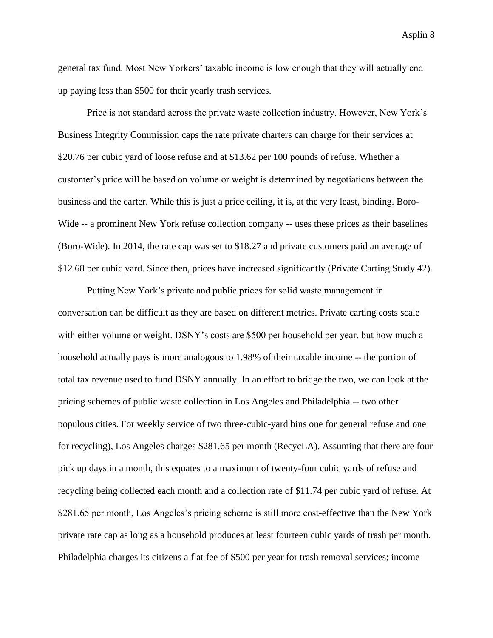general tax fund. Most New Yorkers' taxable income is low enough that they will actually end up paying less than \$500 for their yearly trash services.

Price is not standard across the private waste collection industry. However, New York's Business Integrity Commission caps the rate private charters can charge for their services at \$20.76 per cubic yard of loose refuse and at \$13.62 per 100 pounds of refuse. Whether a customer's price will be based on volume or weight is determined by negotiations between the business and the carter. While this is just a price ceiling, it is, at the very least, binding. Boro-Wide -- a prominent New York refuse collection company -- uses these prices as their baselines (Boro-Wide). In 2014, the rate cap was set to \$18.27 and private customers paid an average of \$12.68 per cubic yard. Since then, prices have increased significantly (Private Carting Study 42).

Putting New York's private and public prices for solid waste management in conversation can be difficult as they are based on different metrics. Private carting costs scale with either volume or weight. DSNY's costs are \$500 per household per year, but how much a household actually pays is more analogous to 1.98% of their taxable income -- the portion of total tax revenue used to fund DSNY annually. In an effort to bridge the two, we can look at the pricing schemes of public waste collection in Los Angeles and Philadelphia -- two other populous cities. For weekly service of two three-cubic-yard bins one for general refuse and one for recycling), Los Angeles charges \$281.65 per month (RecycLA). Assuming that there are four pick up days in a month, this equates to a maximum of twenty-four cubic yards of refuse and recycling being collected each month and a collection rate of \$11.74 per cubic yard of refuse. At \$281.65 per month, Los Angeles's pricing scheme is still more cost-effective than the New York private rate cap as long as a household produces at least fourteen cubic yards of trash per month. Philadelphia charges its citizens a flat fee of \$500 per year for trash removal services; income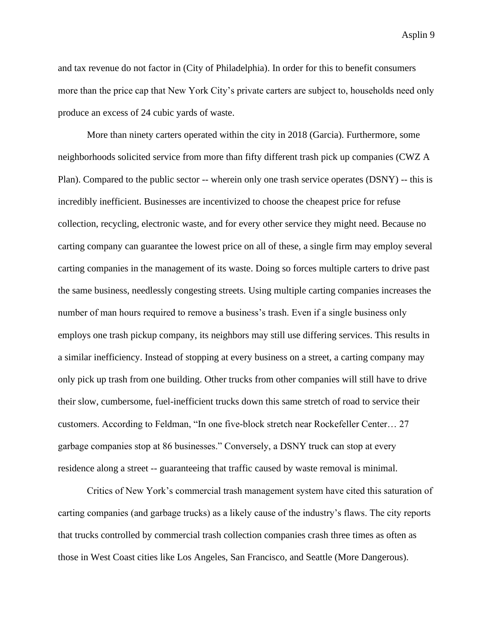and tax revenue do not factor in (City of Philadelphia). In order for this to benefit consumers more than the price cap that New York City's private carters are subject to, households need only produce an excess of 24 cubic yards of waste.

More than ninety carters operated within the city in 2018 (Garcia). Furthermore, some neighborhoods solicited service from more than fifty different trash pick up companies (CWZ A Plan). Compared to the public sector -- wherein only one trash service operates (DSNY) -- this is incredibly inefficient. Businesses are incentivized to choose the cheapest price for refuse collection, recycling, electronic waste, and for every other service they might need. Because no carting company can guarantee the lowest price on all of these, a single firm may employ several carting companies in the management of its waste. Doing so forces multiple carters to drive past the same business, needlessly congesting streets. Using multiple carting companies increases the number of man hours required to remove a business's trash. Even if a single business only employs one trash pickup company, its neighbors may still use differing services. This results in a similar inefficiency. Instead of stopping at every business on a street, a carting company may only pick up trash from one building. Other trucks from other companies will still have to drive their slow, cumbersome, fuel-inefficient trucks down this same stretch of road to service their customers. According to Feldman, "In one five-block stretch near Rockefeller Center… 27 garbage companies stop at 86 businesses." Conversely, a DSNY truck can stop at every residence along a street -- guaranteeing that traffic caused by waste removal is minimal.

Critics of New York's commercial trash management system have cited this saturation of carting companies (and garbage trucks) as a likely cause of the industry's flaws. The city reports that trucks controlled by commercial trash collection companies crash three times as often as those in West Coast cities like Los Angeles, San Francisco, and Seattle (More Dangerous).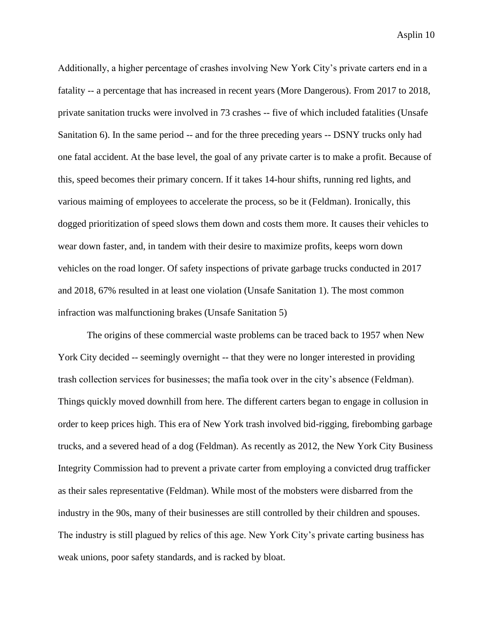Additionally, a higher percentage of crashes involving New York City's private carters end in a fatality -- a percentage that has increased in recent years (More Dangerous). From 2017 to 2018, private sanitation trucks were involved in 73 crashes -- five of which included fatalities (Unsafe Sanitation 6). In the same period -- and for the three preceding years -- DSNY trucks only had one fatal accident. At the base level, the goal of any private carter is to make a profit. Because of this, speed becomes their primary concern. If it takes 14-hour shifts, running red lights, and various maiming of employees to accelerate the process, so be it (Feldman). Ironically, this dogged prioritization of speed slows them down and costs them more. It causes their vehicles to wear down faster, and, in tandem with their desire to maximize profits, keeps worn down vehicles on the road longer. Of safety inspections of private garbage trucks conducted in 2017 and 2018, 67% resulted in at least one violation (Unsafe Sanitation 1). The most common infraction was malfunctioning brakes (Unsafe Sanitation 5)

The origins of these commercial waste problems can be traced back to 1957 when New York City decided -- seemingly overnight -- that they were no longer interested in providing trash collection services for businesses; the mafia took over in the city's absence (Feldman). Things quickly moved downhill from here. The different carters began to engage in collusion in order to keep prices high. This era of New York trash involved bid-rigging, firebombing garbage trucks, and a severed head of a dog (Feldman). As recently as 2012, the New York City Business Integrity Commission had to prevent a private carter from employing a convicted drug trafficker as their sales representative (Feldman). While most of the mobsters were disbarred from the industry in the 90s, many of their businesses are still controlled by their children and spouses. The industry is still plagued by relics of this age. New York City's private carting business has weak unions, poor safety standards, and is racked by bloat.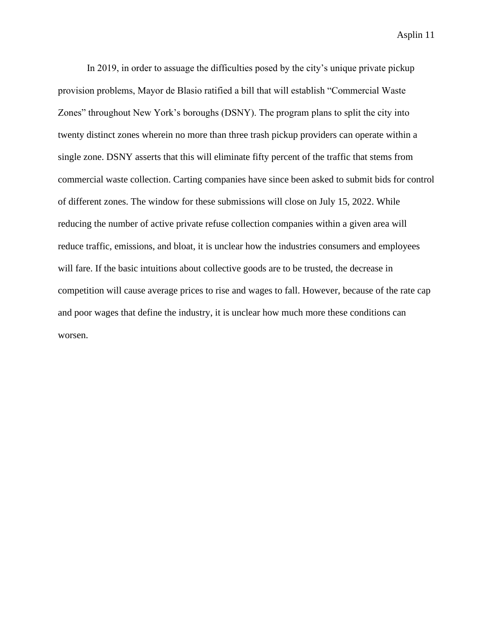In 2019, in order to assuage the difficulties posed by the city's unique private pickup provision problems, Mayor de Blasio ratified a bill that will establish "Commercial Waste Zones" throughout New York's boroughs (DSNY). The program plans to split the city into twenty distinct zones wherein no more than three trash pickup providers can operate within a single zone. DSNY asserts that this will eliminate fifty percent of the traffic that stems from commercial waste collection. Carting companies have since been asked to submit bids for control of different zones. The window for these submissions will close on July 15, 2022. While reducing the number of active private refuse collection companies within a given area will reduce traffic, emissions, and bloat, it is unclear how the industries consumers and employees will fare. If the basic intuitions about collective goods are to be trusted, the decrease in competition will cause average prices to rise and wages to fall. However, because of the rate cap and poor wages that define the industry, it is unclear how much more these conditions can worsen.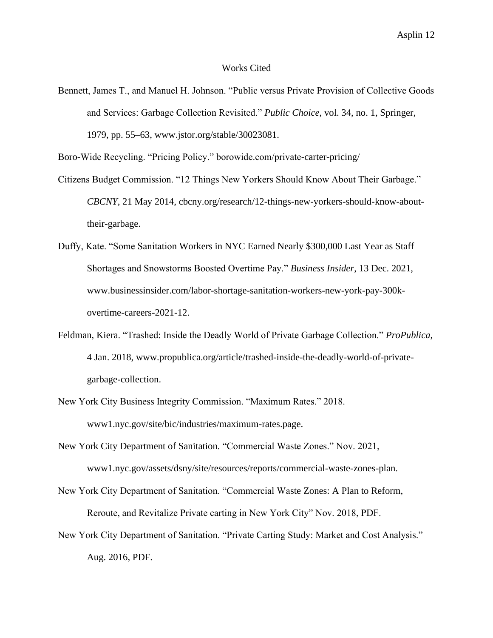## Works Cited

Bennett, James T., and Manuel H. Johnson. "Public versus Private Provision of Collective Goods and Services: Garbage Collection Revisited." *Public Choice*, vol. 34, no. 1, Springer, 1979, pp. 55–63, www.jstor.org/stable/30023081.

Boro-Wide Recycling. "Pricing Policy." borowide.com/private-carter-pricing/

- Citizens Budget Commission. "12 Things New Yorkers Should Know About Their Garbage." *CBCNY*, 21 May 2014, cbcny.org/research/12-things-new-yorkers-should-know-abouttheir-garbage.
- Duffy, Kate. "Some Sanitation Workers in NYC Earned Nearly \$300,000 Last Year as Staff Shortages and Snowstorms Boosted Overtime Pay." *Business Insider*, 13 Dec. 2021, www.businessinsider.com/labor-shortage-sanitation-workers-new-york-pay-300kovertime-careers-2021-12.
- Feldman, Kiera. "Trashed: Inside the Deadly World of Private Garbage Collection." *ProPublica*, 4 Jan. 2018, www.propublica.org/article/trashed-inside-the-deadly-world-of-privategarbage-collection.
- New York City Business Integrity Commission. "Maximum Rates." 2018. www1.nyc.gov/site/bic/industries/maximum-rates.page.
- New York City Department of Sanitation. "Commercial Waste Zones." Nov. 2021, www1.nyc.gov/assets/dsny/site/resources/reports/commercial-waste-zones-plan.
- New York City Department of Sanitation. "Commercial Waste Zones: A Plan to Reform, Reroute, and Revitalize Private carting in New York City" Nov. 2018, PDF.
- New York City Department of Sanitation. "Private Carting Study: Market and Cost Analysis." Aug. 2016, PDF.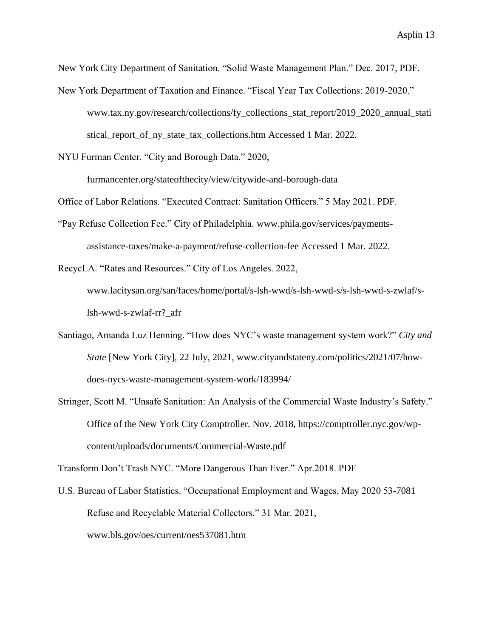New York City Department of Sanitation. "Solid Waste Management Plan." Dec. 2017, PDF. New York Department of Taxation and Finance. "Fiscal Year Tax Collections: 2019-2020." www.tax.ny.gov/research/collections/fy\_collections\_stat\_report/2019\_2020\_annual\_stati stical\_report\_of\_ny\_state\_tax\_collections.htm Accessed 1 Mar. 2022.

NYU Furman Center. "City and Borough Data." 2020,

furmancenter.org/stateofthecity/view/citywide-and-borough-data

Office of Labor Relations. "Executed Contract: Sanitation Officers." 5 May 2021. PDF.

"Pay Refuse Collection Fee." City of Philadelphia. www.phila.gov/services/paymentsassistance-taxes/make-a-payment/refuse-collection-fee Accessed 1 Mar. 2022.

RecycLA. "Rates and Resources." City of Los Angeles. 2022, www.lacitysan.org/san/faces/home/portal/s-lsh-wwd/s-lsh-wwd-s/s-lsh-wwd-s-zwlaf/slsh-wwd-s-zwlaf-rr?\_afr

- Santiago, Amanda Luz Henning. "How does NYC's waste management system work?" *City and State* [New York City], 22 July, 2021, www.cityandstateny.com/politics/2021/07/howdoes-nycs-waste-management-system-work/183994/
- Stringer, Scott M. "Unsafe Sanitation: An Analysis of the Commercial Waste Industry's Safety." Office of the New York City Comptroller. Nov. 2018, https://comptroller.nyc.gov/wpcontent/uploads/documents/Commercial-Waste.pdf

Transform Don't Trash NYC. "More Dangerous Than Ever." Apr.2018. PDF

U.S. Bureau of Labor Statistics. "Occupational Employment and Wages, May 2020 53-7081 Refuse and Recyclable Material Collectors." 31 Mar. 2021, www.bls.gov/oes/current/oes537081.htm